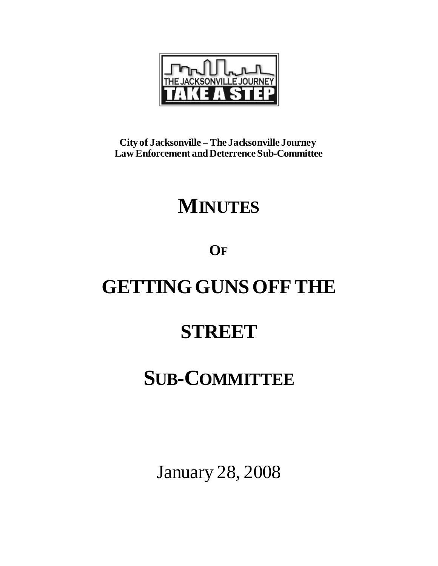

**City of Jacksonville – The Jacksonville Journey Law Enforcement and DeterrenceSub-Committee**

## **MINUTES**

**OF**

# **GETTING GUNS OFF THE**

### **STREET**

## **SUB-COMMITTEE**

January 28, 2008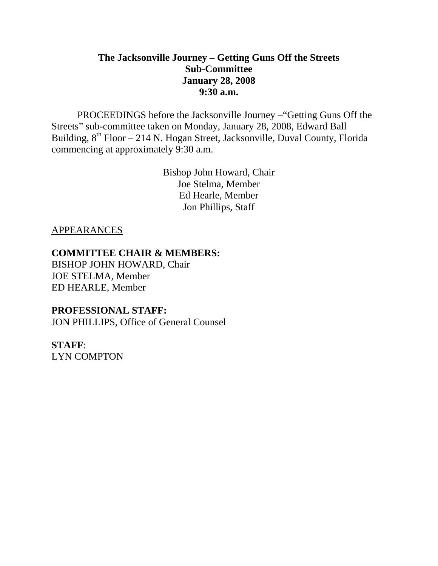### **The Jacksonville Journey – Getting Guns Off the Streets Sub-Committee January 28, 2008 9:30 a.m.**

 PROCEEDINGS before the Jacksonville Journey –"Getting Guns Off the Streets" sub-committee taken on Monday, January 28, 2008, Edward Ball Building,  $8^{th}$  Floor – 214 N. Hogan Street, Jacksonville, Duval County, Florida commencing at approximately 9:30 a.m.

> Bishop John Howard, Chair Joe Stelma, Member Ed Hearle, Member Jon Phillips, Staff

#### APPEARANCES

#### **COMMITTEE CHAIR & MEMBERS:**

BISHOP JOHN HOWARD, Chair JOE STELMA, Member ED HEARLE, Member

#### **PROFESSIONAL STAFF:**

JON PHILLIPS, Office of General Counsel

**STAFF**: LYN COMPTON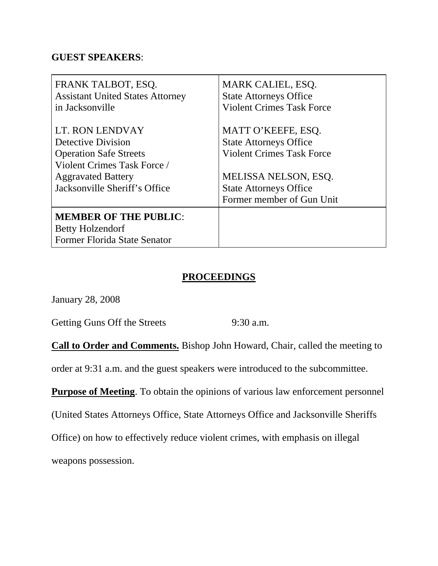#### **GUEST SPEAKERS**:

| FRANK TALBOT, ESQ.                                                                      | <b>MARK CALIEL, ESQ.</b>         |
|-----------------------------------------------------------------------------------------|----------------------------------|
| <b>Assistant United States Attorney</b>                                                 | <b>State Attorneys Office</b>    |
| in Jacksonville                                                                         | <b>Violent Crimes Task Force</b> |
| LT. RON LENDVAY                                                                         | MATT O'KEEFE, ESQ.               |
| Detective Division                                                                      | <b>State Attorneys Office</b>    |
| <b>Operation Safe Streets</b>                                                           | <b>Violent Crimes Task Force</b> |
| Violent Crimes Task Force /                                                             | MELISSA NELSON, ESQ.             |
| <b>Aggravated Battery</b>                                                               | <b>State Attorneys Office</b>    |
| Jacksonville Sheriff's Office                                                           | Former member of Gun Unit        |
| <b>MEMBER OF THE PUBLIC:</b><br><b>Betty Holzendorf</b><br>Former Florida State Senator |                                  |

#### **PROCEEDINGS**

January 28, 2008

Getting Guns Off the Streets 9:30 a.m.

**Call to Order and Comments.** Bishop John Howard, Chair, called the meeting to

order at 9:31 a.m. and the guest speakers were introduced to the subcommittee.

**Purpose of Meeting**. To obtain the opinions of various law enforcement personnel

(United States Attorneys Office, State Attorneys Office and Jacksonville Sheriffs

Office) on how to effectively reduce violent crimes, with emphasis on illegal

weapons possession.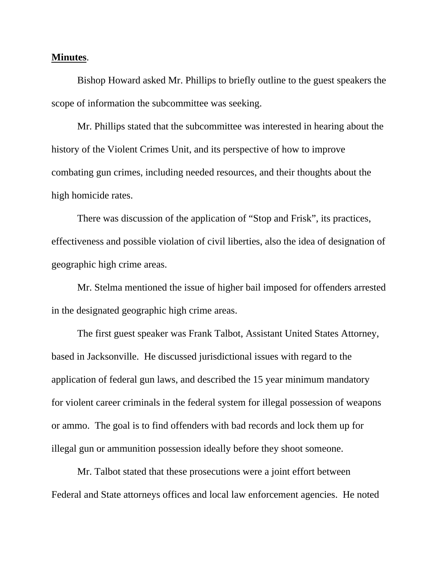#### **Minutes**.

 Bishop Howard asked Mr. Phillips to briefly outline to the guest speakers the scope of information the subcommittee was seeking.

 Mr. Phillips stated that the subcommittee was interested in hearing about the history of the Violent Crimes Unit, and its perspective of how to improve combating gun crimes, including needed resources, and their thoughts about the high homicide rates.

 There was discussion of the application of "Stop and Frisk", its practices, effectiveness and possible violation of civil liberties, also the idea of designation of geographic high crime areas.

 Mr. Stelma mentioned the issue of higher bail imposed for offenders arrested in the designated geographic high crime areas.

 The first guest speaker was Frank Talbot, Assistant United States Attorney, based in Jacksonville. He discussed jurisdictional issues with regard to the application of federal gun laws, and described the 15 year minimum mandatory for violent career criminals in the federal system for illegal possession of weapons or ammo. The goal is to find offenders with bad records and lock them up for illegal gun or ammunition possession ideally before they shoot someone.

 Mr. Talbot stated that these prosecutions were a joint effort between Federal and State attorneys offices and local law enforcement agencies. He noted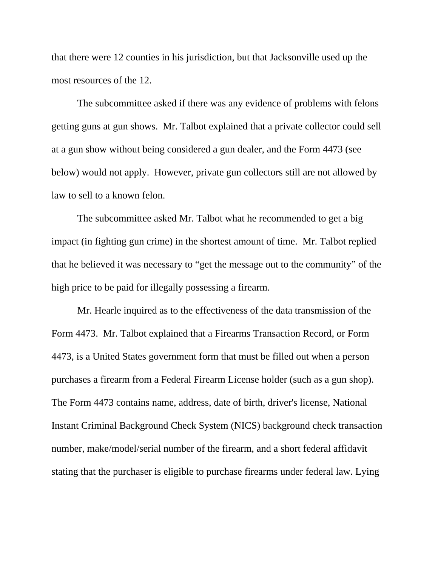that there were 12 counties in his jurisdiction, but that Jacksonville used up the most resources of the 12.

 The subcommittee asked if there was any evidence of problems with felons getting guns at gun shows. Mr. Talbot explained that a private collector could sell at a gun show without being considered a gun dealer, and the Form 4473 (see below) would not apply. However, private gun collectors still are not allowed by law to sell to a known felon.

 The subcommittee asked Mr. Talbot what he recommended to get a big impact (in fighting gun crime) in the shortest amount of time. Mr. Talbot replied that he believed it was necessary to "get the message out to the community" of the high price to be paid for illegally possessing a firearm.

 Mr. Hearle inquired as to the effectiveness of the data transmission of the Form 4473. Mr. Talbot explained that a Firearms Transaction Record, or Form 4473, is a United States government form that must be filled out when a person purchases a firearm from a Federal Firearm License holder (such as a gun shop). The Form 4473 contains name, address, date of birth, driver's license, National Instant Criminal Background Check System (NICS) background check transaction number, make/model/serial number of the firearm, and a short federal affidavit stating that the purchaser is eligible to purchase firearms under federal law. Lying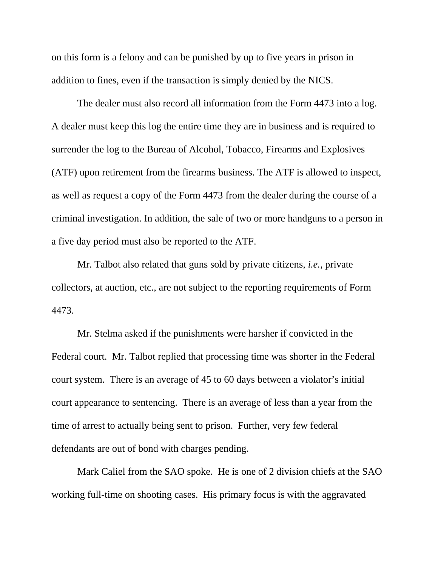on this form is a felony and can be punished by up to five years in prison in addition to fines, even if the transaction is simply denied by the NICS.

 The dealer must also record all information from the Form 4473 into a log. A dealer must keep this log the entire time they are in business and is required to surrender the log to the Bureau of Alcohol, Tobacco, Firearms and Explosives (ATF) upon retirement from the firearms business. The ATF is allowed to inspect, as well as request a copy of the Form 4473 from the dealer during the course of a criminal investigation. In addition, the sale of two or more handguns to a person in a five day period must also be reported to the ATF.

 Mr. Talbot also related that guns sold by private citizens, *i.e.,* private collectors, at auction, etc., are not subject to the reporting requirements of Form 4473.

 Mr. Stelma asked if the punishments were harsher if convicted in the Federal court. Mr. Talbot replied that processing time was shorter in the Federal court system. There is an average of 45 to 60 days between a violator's initial court appearance to sentencing. There is an average of less than a year from the time of arrest to actually being sent to prison. Further, very few federal defendants are out of bond with charges pending.

 Mark Caliel from the SAO spoke. He is one of 2 division chiefs at the SAO working full-time on shooting cases. His primary focus is with the aggravated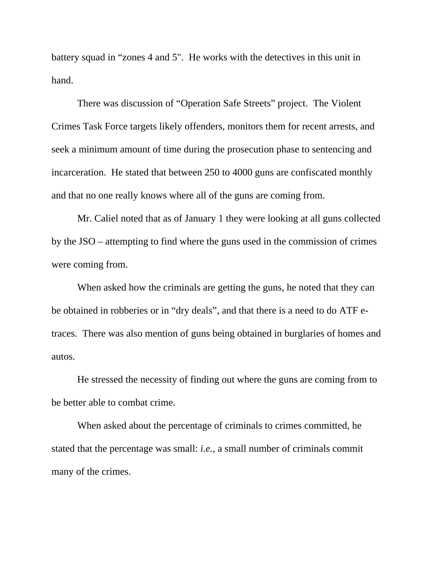battery squad in "zones 4 and 5". He works with the detectives in this unit in hand.

 There was discussion of "Operation Safe Streets" project. The Violent Crimes Task Force targets likely offenders, monitors them for recent arrests, and seek a minimum amount of time during the prosecution phase to sentencing and incarceration. He stated that between 250 to 4000 guns are confiscated monthly and that no one really knows where all of the guns are coming from.

 Mr. Caliel noted that as of January 1 they were looking at all guns collected by the JSO – attempting to find where the guns used in the commission of crimes were coming from.

 When asked how the criminals are getting the guns, he noted that they can be obtained in robberies or in "dry deals", and that there is a need to do ATF etraces. There was also mention of guns being obtained in burglaries of homes and autos.

 He stressed the necessity of finding out where the guns are coming from to be better able to combat crime.

 When asked about the percentage of criminals to crimes committed, he stated that the percentage was small: *i.e.*, a small number of criminals commit many of the crimes.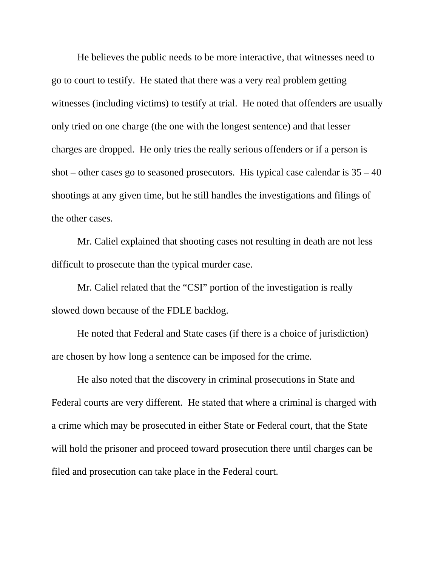He believes the public needs to be more interactive, that witnesses need to go to court to testify. He stated that there was a very real problem getting witnesses (including victims) to testify at trial. He noted that offenders are usually only tried on one charge (the one with the longest sentence) and that lesser charges are dropped. He only tries the really serious offenders or if a person is shot – other cases go to seasoned prosecutors. His typical case calendar is  $35 - 40$ shootings at any given time, but he still handles the investigations and filings of the other cases.

 Mr. Caliel explained that shooting cases not resulting in death are not less difficult to prosecute than the typical murder case.

 Mr. Caliel related that the "CSI" portion of the investigation is really slowed down because of the FDLE backlog.

 He noted that Federal and State cases (if there is a choice of jurisdiction) are chosen by how long a sentence can be imposed for the crime.

 He also noted that the discovery in criminal prosecutions in State and Federal courts are very different. He stated that where a criminal is charged with a crime which may be prosecuted in either State or Federal court, that the State will hold the prisoner and proceed toward prosecution there until charges can be filed and prosecution can take place in the Federal court.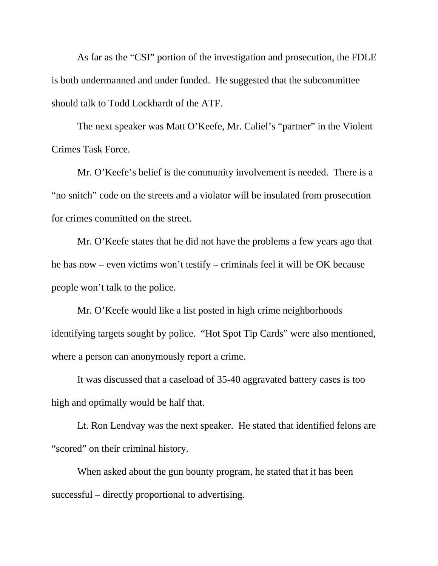As far as the "CSI" portion of the investigation and prosecution, the FDLE is both undermanned and under funded. He suggested that the subcommittee should talk to Todd Lockhardt of the ATF.

 The next speaker was Matt O'Keefe, Mr. Caliel's "partner" in the Violent Crimes Task Force.

 Mr. O'Keefe's belief is the community involvement is needed. There is a "no snitch" code on the streets and a violator will be insulated from prosecution for crimes committed on the street.

 Mr. O'Keefe states that he did not have the problems a few years ago that he has now – even victims won't testify – criminals feel it will be OK because people won't talk to the police.

 Mr. O'Keefe would like a list posted in high crime neighborhoods identifying targets sought by police. "Hot Spot Tip Cards" were also mentioned, where a person can anonymously report a crime.

 It was discussed that a caseload of 35-40 aggravated battery cases is too high and optimally would be half that.

 Lt. Ron Lendvay was the next speaker. He stated that identified felons are "scored" on their criminal history.

 When asked about the gun bounty program, he stated that it has been successful – directly proportional to advertising.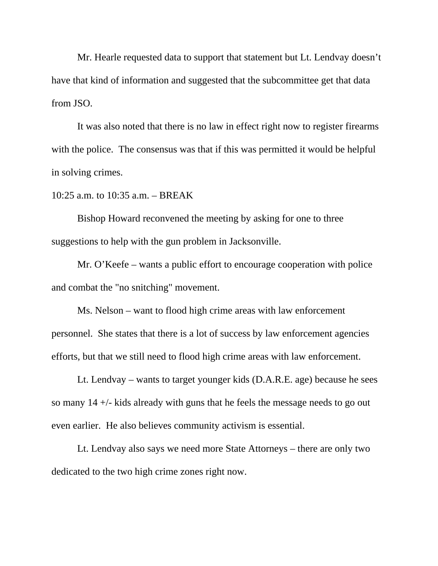Mr. Hearle requested data to support that statement but Lt. Lendvay doesn't have that kind of information and suggested that the subcommittee get that data from JSO.

 It was also noted that there is no law in effect right now to register firearms with the police. The consensus was that if this was permitted it would be helpful in solving crimes.

10:25 a.m. to 10:35 a.m. – BREAK

 Bishop Howard reconvened the meeting by asking for one to three suggestions to help with the gun problem in Jacksonville.

 Mr. O'Keefe – wants a public effort to encourage cooperation with police and combat the "no snitching" movement.

 Ms. Nelson – want to flood high crime areas with law enforcement personnel. She states that there is a lot of success by law enforcement agencies efforts, but that we still need to flood high crime areas with law enforcement.

 Lt. Lendvay – wants to target younger kids (D.A.R.E. age) because he sees so many 14 +/- kids already with guns that he feels the message needs to go out even earlier. He also believes community activism is essential.

 Lt. Lendvay also says we need more State Attorneys – there are only two dedicated to the two high crime zones right now.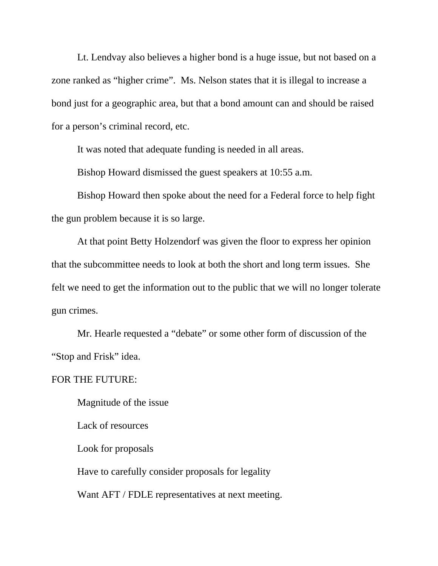Lt. Lendvay also believes a higher bond is a huge issue, but not based on a zone ranked as "higher crime". Ms. Nelson states that it is illegal to increase a bond just for a geographic area, but that a bond amount can and should be raised for a person's criminal record, etc.

It was noted that adequate funding is needed in all areas.

Bishop Howard dismissed the guest speakers at 10:55 a.m.

 Bishop Howard then spoke about the need for a Federal force to help fight the gun problem because it is so large.

 At that point Betty Holzendorf was given the floor to express her opinion that the subcommittee needs to look at both the short and long term issues. She felt we need to get the information out to the public that we will no longer tolerate gun crimes.

 Mr. Hearle requested a "debate" or some other form of discussion of the "Stop and Frisk" idea.

FOR THE FUTURE:

Magnitude of the issue

Lack of resources

Look for proposals

Have to carefully consider proposals for legality

Want AFT / FDLE representatives at next meeting.